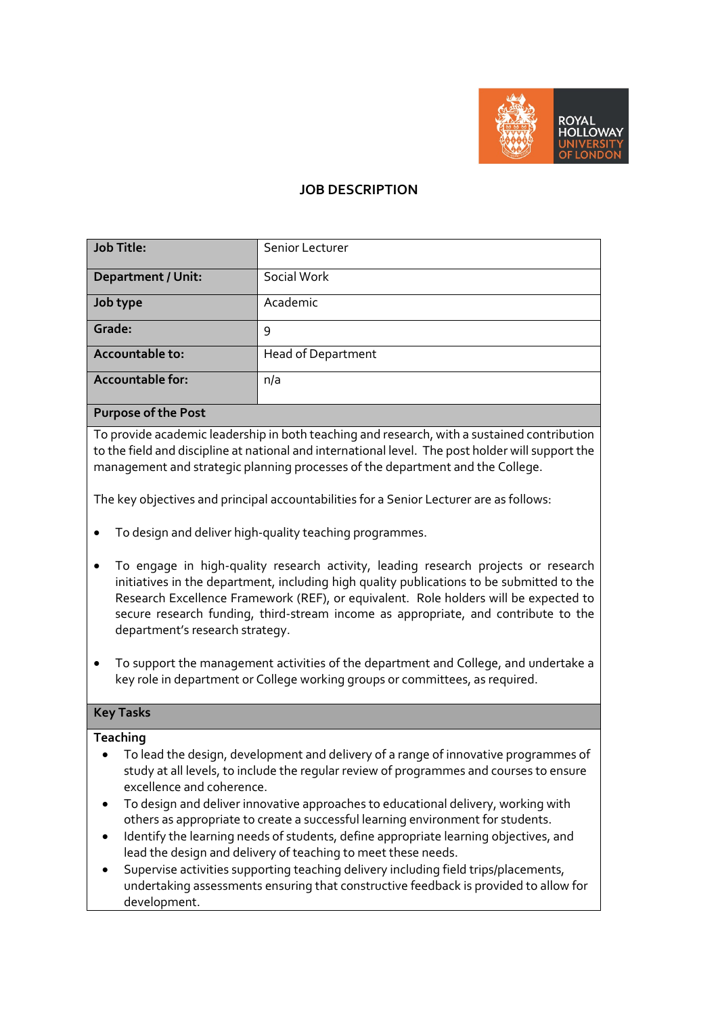

# **JOB DESCRIPTION**

| <b>Job Title:</b>          | Senior Lecturer           |
|----------------------------|---------------------------|
| <b>Department / Unit:</b>  | Social Work               |
| Job type                   | Academic                  |
| Grade:                     | 9                         |
| Accountable to:            | <b>Head of Department</b> |
| <b>Accountable for:</b>    | n/a                       |
| Calco Base<br><b>D</b> and |                           |

### **Purpose of the Post**

To provide academic leadership in both teaching and research, with a sustained contribution to the field and discipline at national and international level. The post holder will support the management and strategic planning processes of the department and the College.

The key objectives and principal accountabilities for a Senior Lecturer are as follows:

- To design and deliver high-quality teaching programmes.
- To engage in high-quality research activity, leading research projects or research initiatives in the department, including high quality publications to be submitted to the Research Excellence Framework (REF), or equivalent. Role holders will be expected to secure research funding, third-stream income as appropriate, and contribute to the department's research strategy.
- To support the management activities of the department and College, and undertake a key role in department or College working groups or committees, as required.

### **Key Tasks**

### **Teaching**

- To lead the design, development and delivery of a range of innovative programmes of study at all levels, to include the regular review of programmes and courses to ensure excellence and coherence.
- To design and deliver innovative approaches to educational delivery, working with others as appropriate to create a successful learning environment for students.
- Identify the learning needs of students, define appropriate learning objectives, and lead the design and delivery of teaching to meet these needs.
- Supervise activities supporting teaching delivery including field trips/placements, undertaking assessments ensuring that constructive feedback is provided to allow for development.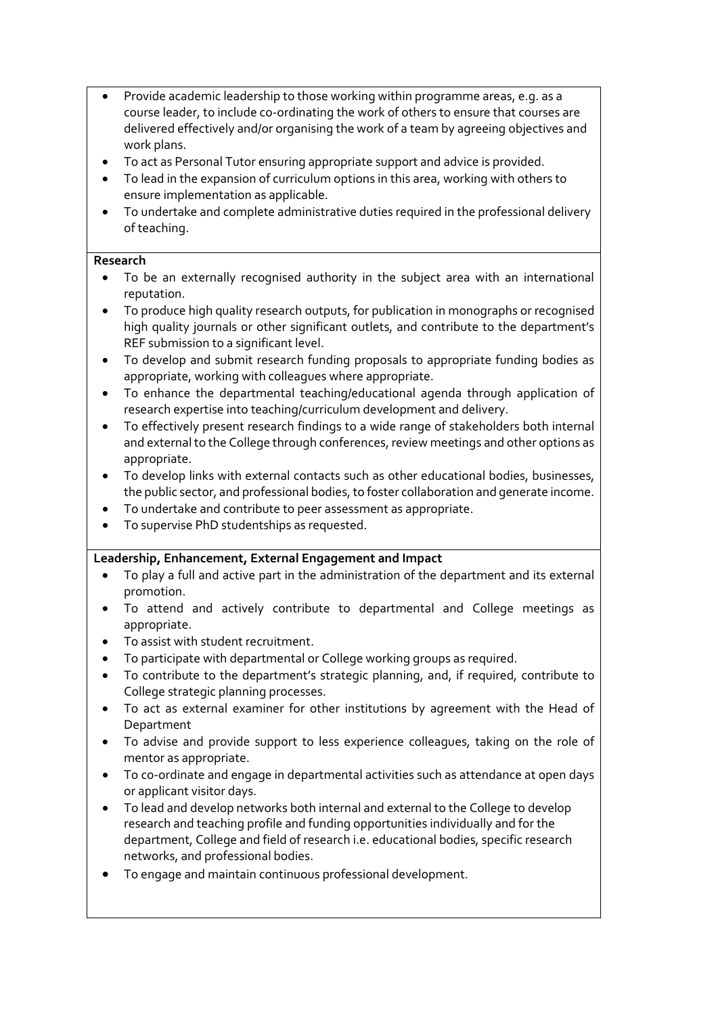- Provide academic leadership to those working within programme areas, e.g. as a course leader, to include co-ordinating the work of others to ensure that courses are delivered effectively and/or organising the work of a team by agreeing objectives and work plans.
- To act as Personal Tutor ensuring appropriate support and advice is provided.
- To lead in the expansion of curriculum options in this area, working with others to ensure implementation as applicable.
- To undertake and complete administrative duties required in the professional delivery of teaching.

## **Research**

- To be an externally recognised authority in the subject area with an international reputation.
- To produce high quality research outputs, for publication in monographs or recognised high quality journals or other significant outlets, and contribute to the department's REF submission to a significant level.
- To develop and submit research funding proposals to appropriate funding bodies as appropriate, working with colleagues where appropriate.
- To enhance the departmental teaching/educational agenda through application of research expertise into teaching/curriculum development and delivery.
- To effectively present research findings to a wide range of stakeholders both internal and external to the College through conferences, review meetings and other options as appropriate.
- To develop links with external contacts such as other educational bodies, businesses, the public sector, and professional bodies, to foster collaboration and generate income.
- To undertake and contribute to peer assessment as appropriate.
- To supervise PhD studentships as requested.

## **Leadership, Enhancement, External Engagement and Impact**

- To play a full and active part in the administration of the department and its external promotion.
- To attend and actively contribute to departmental and College meetings as appropriate.
- To assist with student recruitment.
- To participate with departmental or College working groups as required.
- To contribute to the department's strategic planning, and, if required, contribute to College strategic planning processes.
- To act as external examiner for other institutions by agreement with the Head of Department
- To advise and provide support to less experience colleagues, taking on the role of mentor as appropriate.
- To co-ordinate and engage in departmental activities such as attendance at open days or applicant visitor days.
- To lead and develop networks both internal and external to the College to develop research and teaching profile and funding opportunities individually and for the department, College and field of research i.e. educational bodies, specific research networks, and professional bodies.
- To engage and maintain continuous professional development.